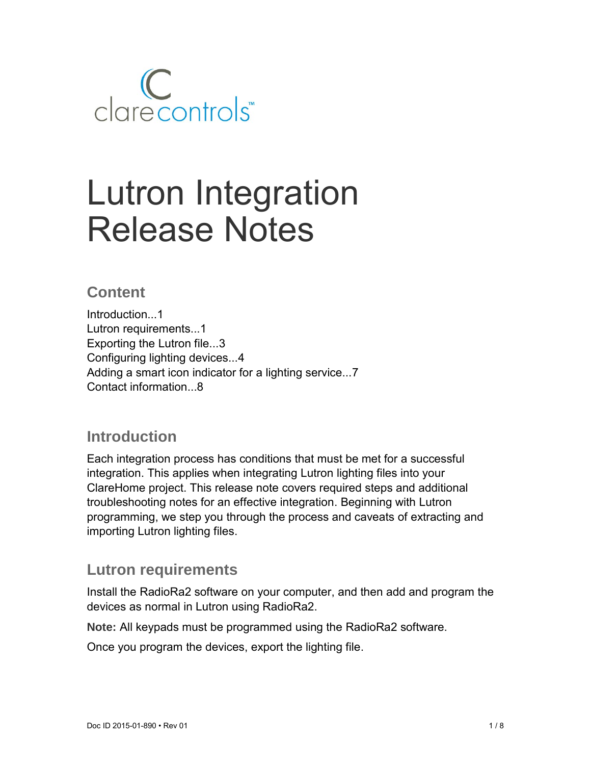

# Lutron Integration Release Notes

## **Content**

Introduction...1 Lutron requirements...1 Exporting the Lutron file...3 Configuring lighting devices...4 Adding a smart icon indicator for a lighting service...7 Contact information...8

## **Introduction**

Each integration process has conditions that must be met for a successful integration. This applies when integrating Lutron lighting files into your ClareHome project. This release note covers required steps and additional troubleshooting notes for an effective integration. Beginning with Lutron programming, we step you through the process and caveats of extracting and importing Lutron lighting files.

## **Lutron requirements**

Install the RadioRa2 software on your computer, and then add and program the devices as normal in Lutron using RadioRa2.

**Note:** All keypads must be programmed using the RadioRa2 software.

Once you program the devices, export the lighting file.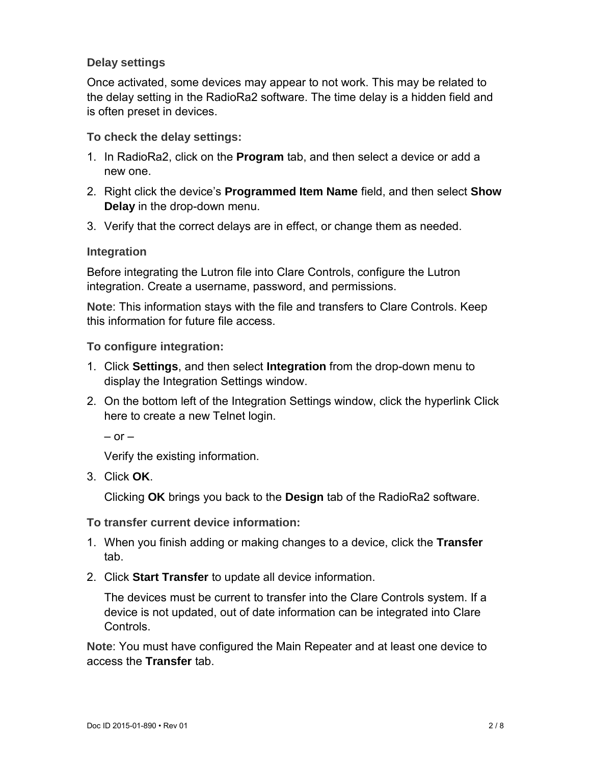#### **Delay settings**

Once activated, some devices may appear to not work. This may be related to the delay setting in the RadioRa2 software. The time delay is a hidden field and is often preset in devices.

**To check the delay settings:** 

- 1. In RadioRa2, click on the **Program** tab, and then select a device or add a new one.
- 2. Right click the device's **Programmed Item Name** field, and then select **Show Delay** in the drop-down menu.
- 3. Verify that the correct delays are in effect, or change them as needed.

#### **Integration**

Before integrating the Lutron file into Clare Controls, configure the Lutron integration. Create a username, password, and permissions.

**Note**: This information stays with the file and transfers to Clare Controls. Keep this information for future file access.

#### **To configure integration:**

- 1. Click **Settings**, and then select **Integration** from the drop-down menu to display the Integration Settings window.
- 2. On the bottom left of the Integration Settings window, click the hyperlink Click here to create a new Telnet login.

 $-$  or  $-$ 

Verify the existing information.

3. Click **OK**.

Clicking **OK** brings you back to the **Design** tab of the RadioRa2 software.

#### **To transfer current device information:**

- 1. When you finish adding or making changes to a device, click the **Transfer** tab.
- 2. Click **Start Transfer** to update all device information.

The devices must be current to transfer into the Clare Controls system. If a device is not updated, out of date information can be integrated into Clare Controls.

**Note**: You must have configured the Main Repeater and at least one device to access the **Transfer** tab.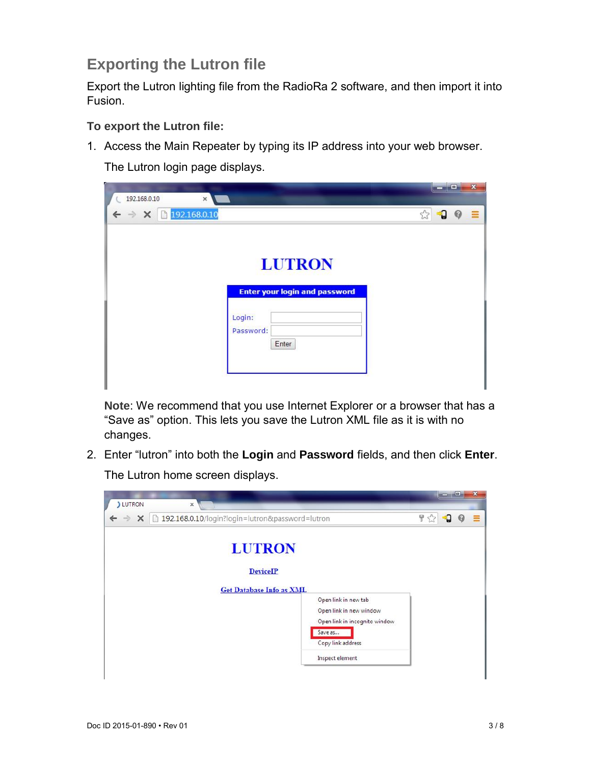# **Exporting the Lutron file**

Export the Lutron lighting file from the RadioRa 2 software, and then import it into Fusion.

**To export the Lutron file:** 

1. Access the Main Repeater by typing its IP address into your web browser.

The Lutron login page displays.

| -9<br>$\mathcal Q$ |
|--------------------|
|                    |
|                    |
|                    |

**Note**: We recommend that you use Internet Explorer or a browser that has a "Save as" option. This lets you save the Lutron XML file as it is with no changes.

2. Enter "lutron" into both the **Login** and **Password** fields, and then click **Enter**.

The Lutron home screen displays.

| <b>J</b> LUTRON            | $\times$                                                           | لمارض       |   | $\mathbf x$ |
|----------------------------|--------------------------------------------------------------------|-------------|---|-------------|
| $\leftarrow$ $\rightarrow$ | X http://www.math.org/math.org/math.org/2010/index.password=lutron | 무 5,2<br>٩Ĵ | € | 亖           |
|                            | <b>LUTRON</b><br><b>DeviceIP</b>                                   |             |   |             |
|                            | <b>Get Database Info as XML</b>                                    |             |   |             |
|                            | Open link in new tab<br>Open link in new window                    |             |   |             |
|                            | Open link in incognito window                                      |             |   |             |
|                            | Save as                                                            |             |   |             |
|                            | Copy link address                                                  |             |   |             |
|                            | Inspect element                                                    |             |   |             |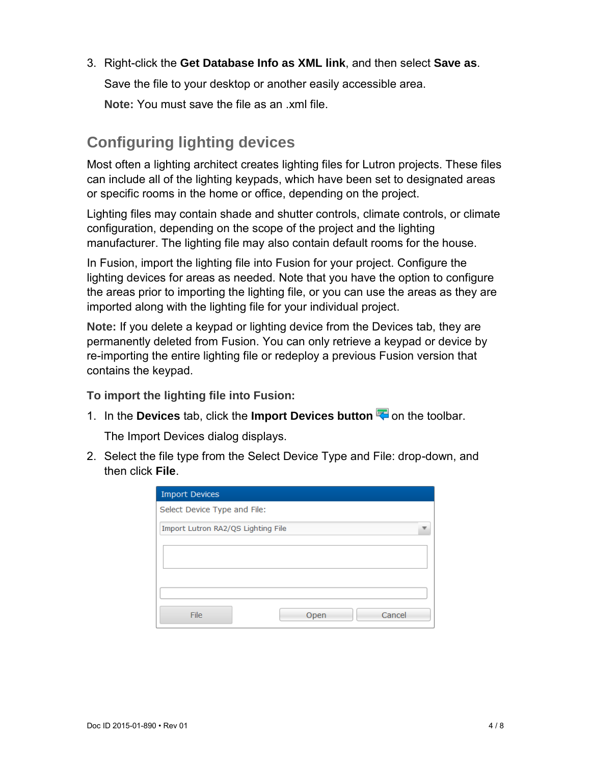3. Right-click the **Get Database Info as XML link**, and then select **Save as**.

Save the file to your desktop or another easily accessible area.

**Note:** You must save the file as an .xml file.

# **Configuring lighting devices**

Most often a lighting architect creates lighting files for Lutron projects. These files can include all of the lighting keypads, which have been set to designated areas or specific rooms in the home or office, depending on the project.

Lighting files may contain shade and shutter controls, climate controls, or climate configuration, depending on the scope of the project and the lighting manufacturer. The lighting file may also contain default rooms for the house.

In Fusion, import the lighting file into Fusion for your project. Configure the lighting devices for areas as needed. Note that you have the option to configure the areas prior to importing the lighting file, or you can use the areas as they are imported along with the lighting file for your individual project.

**Note:** If you delete a keypad or lighting device from the Devices tab, they are permanently deleted from Fusion. You can only retrieve a keypad or device by re-importing the entire lighting file or redeploy a previous Fusion version that contains the keypad.

**To import the lighting file into Fusion:** 

1. In the **Devices** tab, click the **Import Devices button on** the toolbar.

The Import Devices dialog displays.

2. Select the file type from the Select Device Type and File: drop-down, and then click **File**.

| <b>Import Devices</b>              |
|------------------------------------|
| Select Device Type and File:       |
| Import Lutron RA2/QS Lighting File |
|                                    |
|                                    |
|                                    |
| File<br>Cancel<br>Open             |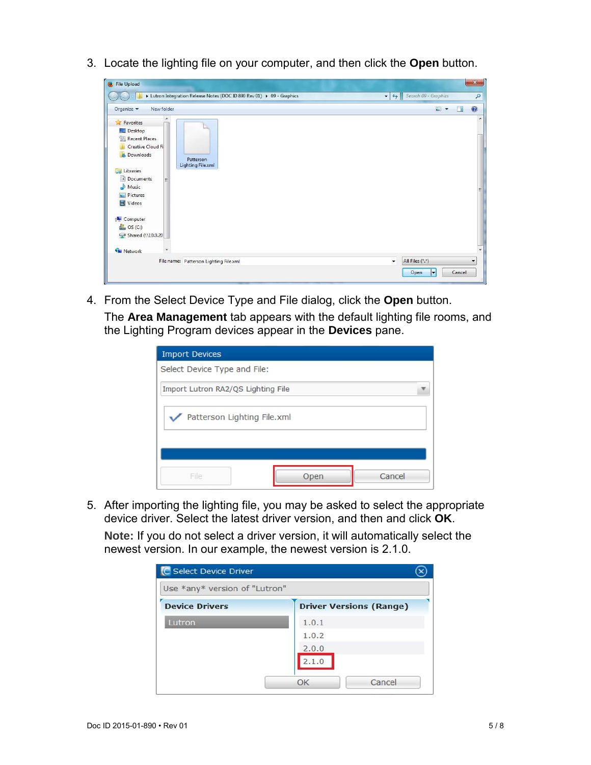3. Locate the lighting file on your computer, and then click the **Open** button.

| File Upload                                                                                                                                                                                                                    |                                                                      | $\mathbf{x}$                                                       |
|--------------------------------------------------------------------------------------------------------------------------------------------------------------------------------------------------------------------------------|----------------------------------------------------------------------|--------------------------------------------------------------------|
|                                                                                                                                                                                                                                | Lutron Integration Release Notes (DOC ID 890 Rev 01) > 09 - Graphics | Search 09 - Graphics<br>$-4$<br>R                                  |
| New folder<br>Organize v                                                                                                                                                                                                       |                                                                      | $\odot$<br>$\Box$ $\star$<br><b>TR</b>                             |
| $\blacktriangle$<br>Favorites<br>Desktop<br>99<br><b>Recent Places</b><br>Creative Cloud Fi<br><b>Q</b> Downloads<br>Libraries<br>E<br>Documents<br>릨<br>Music<br>Pictures<br>Videos<br>Computer<br>OS(C)<br>Shared (\\10.0.20 | Patterson<br>Lighting File.xml                                       | ۸<br>듵                                                             |
| <b>EN</b> Network                                                                                                                                                                                                              |                                                                      | ۰                                                                  |
|                                                                                                                                                                                                                                | File name: Patterson Lighting File.xml                               | All Files (*.*)<br>$\overline{\phantom{a}}$<br>Cancel<br>Open<br>E |

4. From the Select Device Type and File dialog, click the **Open** button. The **Area Management** tab appears with the default lighting file rooms, and the Lighting Program devices appear in the **Devices** pane.

| <b>Import Devices</b>              |  |  |  |  |
|------------------------------------|--|--|--|--|
| Select Device Type and File:       |  |  |  |  |
| Import Lutron RA2/QS Lighting File |  |  |  |  |
| Patterson Lighting File.xml        |  |  |  |  |
|                                    |  |  |  |  |
| Cancel<br>File<br>Open             |  |  |  |  |

5. After importing the lighting file, you may be asked to select the appropriate device driver. Select the latest driver version, and then and click **OK**.

**Note:** If you do not select a driver version, it will automatically select the newest version. In our example, the newest version is 2.1.0.

| Use *any* version of "Lutron" |                                |
|-------------------------------|--------------------------------|
| <b>Device Drivers</b>         | <b>Driver Versions (Range)</b> |
| Lutron                        | 1.0.1                          |
|                               | 1.0.2                          |
|                               | 2.0.0                          |
|                               | 2.1.0                          |
|                               | Cancel<br>OK                   |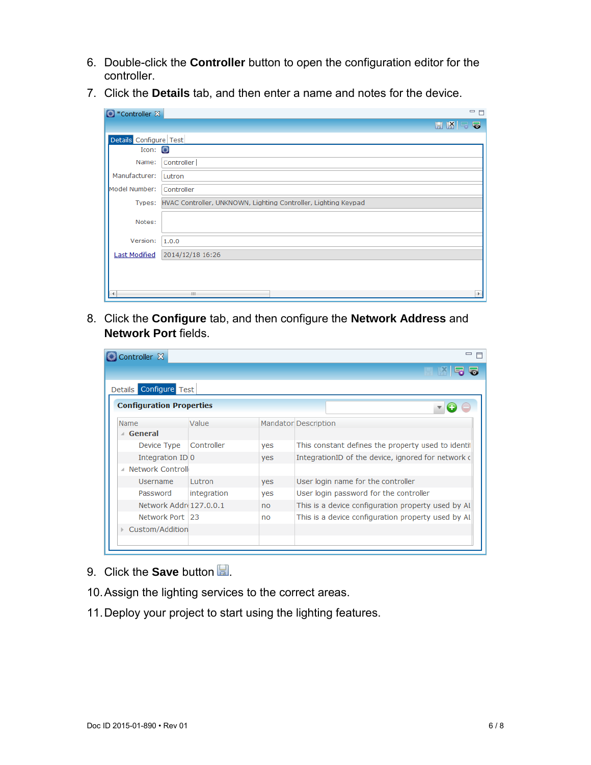- 6. Double-click the **Controller** button to open the configuration editor for the controller.
- 7. Click the **Details** tab, and then enter a name and notes for the device.

| Controller X           |                                                                       | 一日       |
|------------------------|-----------------------------------------------------------------------|----------|
|                        |                                                                       | 日图号<br>5 |
| Details Configure Test |                                                                       |          |
| Icon:                  |                                                                       |          |
| Name:                  | Controller                                                            |          |
| Manufacturer:          | Lutron                                                                |          |
| Model Number:          | Controller                                                            |          |
|                        | Types: HVAC Controller, UNKNOWN, Lighting Controller, Lighting Keypad |          |
| Notes:                 |                                                                       |          |
| Version:               | 1.0.0                                                                 |          |
| <b>Last Modified</b>   | 2014/12/18 16:26                                                      |          |
|                        |                                                                       |          |
|                        | HI.                                                                   |          |

8. Click the **Configure** tab, and then configure the **Network Address** and **Network Port** fields.

| Details Configure Test            |             |     |                                                     |
|-----------------------------------|-------------|-----|-----------------------------------------------------|
| <b>Configuration Properties</b>   |             |     |                                                     |
| Name                              | Value       |     | <b>Mandator Description</b>                         |
| General                           |             |     |                                                     |
| Device Type                       | Controller  | yes | This constant defines the property used to identif  |
| Integration ID 0                  |             | yes | IntegrationID of the device, ignored for network of |
| Network Controll<br>$\mathcal{A}$ |             |     |                                                     |
| <b>Username</b>                   | Lutron      | yes | User login name for the controller                  |
| Password                          | integration | yes | User login password for the controller              |
| Network Addre 127.0.0.1           |             | no  | This is a device configuration property used by Al  |
| Network Port 23                   |             | no  | This is a device configuration property used by AI  |
| Custom/Addition                   |             |     |                                                     |
|                                   |             |     |                                                     |

- 9. Click the **Save** button ...
- 10. Assign the lighting services to the correct areas.
- 11. Deploy your project to start using the lighting features.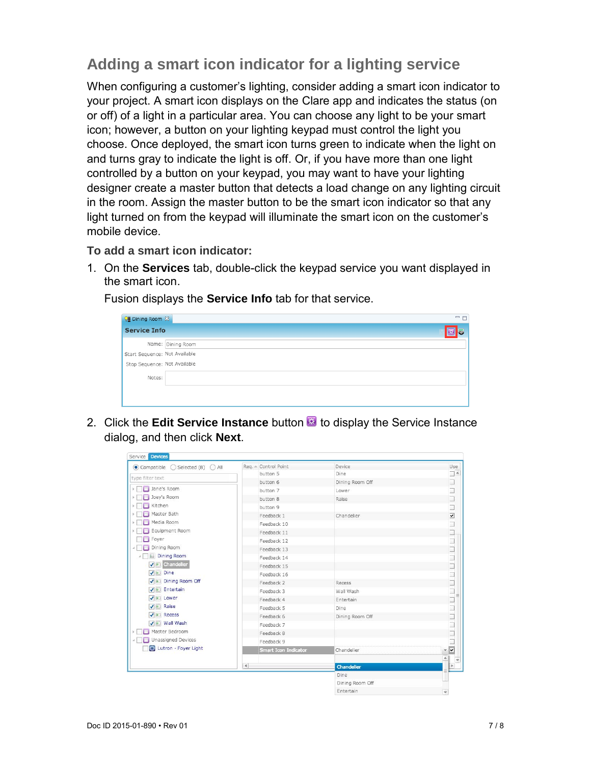# **Adding a smart icon indicator for a lighting service**

When configuring a customer's lighting, consider adding a smart icon indicator to your project. A smart icon displays on the Clare app and indicates the status (on or off) of a light in a particular area. You can choose any light to be your smart icon; however, a button on your lighting keypad must control the light you choose. Once deployed, the smart icon turns green to indicate when the light on and turns gray to indicate the light is off. Or, if you have more than one light controlled by a button on your keypad, you may want to have your lighting designer create a master button that detects a load change on any lighting circuit in the room. Assign the master button to be the smart icon indicator so that any light turned on from the keypad will illuminate the smart icon on the customer's mobile device.

**To add a smart icon indicator:** 

1. On the **Services** tab, double-click the keypad service you want displayed in the smart icon.

 $\overline{\phantom{a}}$ **B** Dining Room  $\overline{\aleph}$ **Service Info** 図写 Name: Dining Room Start Sequence: Not Available Stop Sequence: Not Available Notes:

Fusion displays the **Service Info** tab for that service.

2. Click the **Edit Service Instance** button **B** to display the Service Instance dialog, and then click **Next**.

| Compatible<br>$\bigcirc$ Selected (8) $\bigcirc$ All | Req. & Control Point   | Device          | Use                       |
|------------------------------------------------------|------------------------|-----------------|---------------------------|
| type filter text                                     | button 5               | Dine            | $\Box$ $\triangleq$       |
|                                                      | button 6               | Dining Room Off |                           |
| Jane's Room<br>$\blacktriangleright$                 | button 7               | Lower           |                           |
| Joey's Room                                          | button 8               | Raise           |                           |
| Kitchen                                              | button 9               |                 |                           |
| Master Bath                                          | Feedback 1             | Chandelier      |                           |
| Media Room                                           | Feedback 10            |                 |                           |
| Equipment Room                                       | Feedback 11            |                 |                           |
| Foyer                                                | Feedback 12            |                 |                           |
| Dining Room                                          | Feedback 13            |                 |                           |
| Dining Room<br>$\boldsymbol{A}$                      | Feedback 14            |                 |                           |
| <b>v</b> <sup>a</sup> Chandelier                     | Feedback 15            |                 |                           |
| V Dine                                               | Feedback 16            |                 |                           |
| √ © Dining Room Off                                  | Feedback 2             | Recess          |                           |
| √ © Entertain                                        | Feedback 3             | Wall Wash       |                           |
| V D Lower                                            | Feedback 4             | Entertain       |                           |
| √ <b>e</b> Raise                                     | Feedback 5             | Dine            | THAR HUNDALING THE PARTIC |
| V <b>Recess</b>                                      | Feedback 6             | Dining Room Off |                           |
| V . Wall Wash                                        | Feedback 7             |                 |                           |
| Master Bedroom                                       | Feedback 8             |                 |                           |
| Unassigned Devices                                   | Feedback 9             |                 |                           |
| Lutron - Foyer Light                                 | Smart Icon Indicator   | Chandelier      | $\overline{\mathbf{v}}$   |
|                                                      |                        |                 | $\overline{\mathbf{v}}$   |
|                                                      | $\left  \cdot \right $ | Chandelier      | ×                         |
|                                                      |                        | Dine            |                           |
|                                                      |                        | Dining Room Off |                           |
|                                                      |                        | Entertain       | $\overline{\phantom{a}}$  |